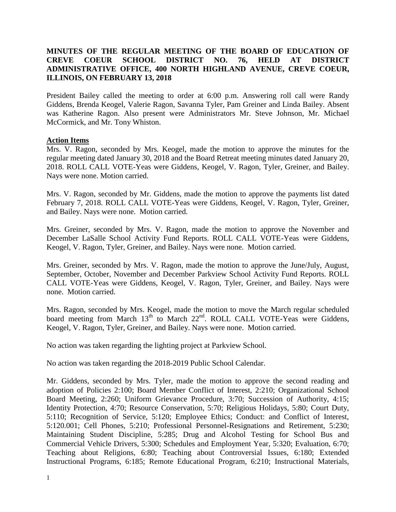## **MINUTES OF THE REGULAR MEETING OF THE BOARD OF EDUCATION OF CREVE COEUR SCHOOL DISTRICT NO. 76, HELD AT DISTRICT ADMINISTRATIVE OFFICE, 400 NORTH HIGHLAND AVENUE, CREVE COEUR, ILLINOIS, ON FEBRUARY 13, 2018**

President Bailey called the meeting to order at 6:00 p.m. Answering roll call were Randy Giddens, Brenda Keogel, Valerie Ragon, Savanna Tyler, Pam Greiner and Linda Bailey. Absent was Katherine Ragon. Also present were Administrators Mr. Steve Johnson, Mr. Michael McCormick, and Mr. Tony Whiston.

#### **Action Items**

Mrs. V. Ragon, seconded by Mrs. Keogel, made the motion to approve the minutes for the regular meeting dated January 30, 2018 and the Board Retreat meeting minutes dated January 20, 2018. ROLL CALL VOTE-Yeas were Giddens, Keogel, V. Ragon, Tyler, Greiner, and Bailey. Nays were none. Motion carried.

Mrs. V. Ragon, seconded by Mr. Giddens, made the motion to approve the payments list dated February 7, 2018. ROLL CALL VOTE-Yeas were Giddens, Keogel, V. Ragon, Tyler, Greiner, and Bailey. Nays were none. Motion carried.

Mrs. Greiner, seconded by Mrs. V. Ragon, made the motion to approve the November and December LaSalle School Activity Fund Reports. ROLL CALL VOTE-Yeas were Giddens, Keogel, V. Ragon, Tyler, Greiner, and Bailey. Nays were none. Motion carried.

Mrs. Greiner, seconded by Mrs. V. Ragon, made the motion to approve the June/July, August, September, October, November and December Parkview School Activity Fund Reports. ROLL CALL VOTE-Yeas were Giddens, Keogel, V. Ragon, Tyler, Greiner, and Bailey. Nays were none. Motion carried.

Mrs. Ragon, seconded by Mrs. Keogel, made the motion to move the March regular scheduled board meeting from March 13<sup>th</sup> to March 22<sup>nd</sup>. ROLL CALL VOTE-Yeas were Giddens, Keogel, V. Ragon, Tyler, Greiner, and Bailey. Nays were none. Motion carried.

No action was taken regarding the lighting project at Parkview School.

No action was taken regarding the 2018-2019 Public School Calendar.

Mr. Giddens, seconded by Mrs. Tyler, made the motion to approve the second reading and adoption of Policies 2:100; Board Member Conflict of Interest, 2:210; Organizational School Board Meeting, 2:260; Uniform Grievance Procedure, 3:70; Succession of Authority, 4:15; Identity Protection, 4:70; Resource Conservation, 5:70; Religious Holidays, 5:80; Court Duty, 5:110; Recognition of Service, 5:120; Employee Ethics; Conduct: and Conflict of Interest, 5:120.001; Cell Phones, 5:210; Professional Personnel-Resignations and Retirement, 5:230; Maintaining Student Discipline, 5:285; Drug and Alcohol Testing for School Bus and Commercial Vehicle Drivers, 5:300; Schedules and Employment Year, 5:320; Evaluation, 6:70; Teaching about Religions, 6:80; Teaching about Controversial Issues, 6:180; Extended Instructional Programs, 6:185; Remote Educational Program, 6:210; Instructional Materials,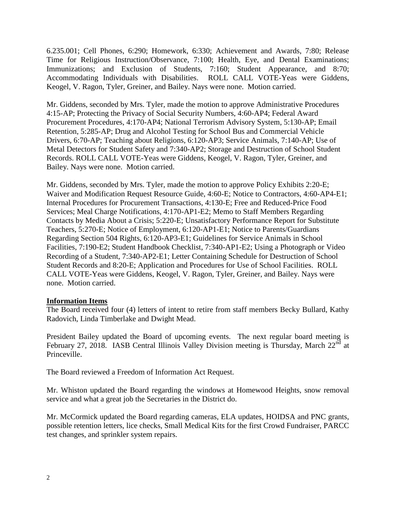6.235.001; Cell Phones, 6:290; Homework, 6:330; Achievement and Awards, 7:80; Release Time for Religious Instruction/Observance, 7:100; Health, Eye, and Dental Examinations; Immunizations; and Exclusion of Students, 7:160; Student Appearance, and 8:70; Accommodating Individuals with Disabilities. ROLL CALL VOTE-Yeas were Giddens, Keogel, V. Ragon, Tyler, Greiner, and Bailey. Nays were none. Motion carried.

Mr. Giddens, seconded by Mrs. Tyler, made the motion to approve Administrative Procedures 4:15-AP; Protecting the Privacy of Social Security Numbers, 4:60-AP4; Federal Award Procurement Procedures, 4:170-AP4; National Terrorism Advisory System, 5:130-AP; Email Retention, 5:285-AP; Drug and Alcohol Testing for School Bus and Commercial Vehicle Drivers, 6:70-AP; Teaching about Religions, 6:120-AP3; Service Animals, 7:140-AP; Use of Metal Detectors for Student Safety and 7:340-AP2; Storage and Destruction of School Student Records. ROLL CALL VOTE-Yeas were Giddens, Keogel, V. Ragon, Tyler, Greiner, and Bailey. Nays were none. Motion carried.

Mr. Giddens, seconded by Mrs. Tyler, made the motion to approve Policy Exhibits 2:20-E; Waiver and Modification Request Resource Guide, 4:60-E; Notice to Contractors, 4:60-AP4-E1; Internal Procedures for Procurement Transactions, 4:130-E; Free and Reduced-Price Food Services; Meal Charge Notifications, 4:170-AP1-E2; Memo to Staff Members Regarding Contacts by Media About a Crisis; 5:220-E; Unsatisfactory Performance Report for Substitute Teachers, 5:270-E; Notice of Employment, 6:120-AP1-E1; Notice to Parents/Guardians Regarding Section 504 Rights, 6:120-AP3-E1; Guidelines for Service Animals in School Facilities, 7:190-E2; Student Handbook Checklist, 7:340-AP1-E2; Using a Photograph or Video Recording of a Student, 7:340-AP2-E1; Letter Containing Schedule for Destruction of School Student Records and 8:20-E; Application and Procedures for Use of School Facilities. ROLL CALL VOTE-Yeas were Giddens, Keogel, V. Ragon, Tyler, Greiner, and Bailey. Nays were none. Motion carried.

#### **Information Items**

The Board received four (4) letters of intent to retire from staff members Becky Bullard, Kathy Radovich, Linda Timberlake and Dwight Mead.

President Bailey updated the Board of upcoming events. The next regular board meeting is February 27, 2018. IASB Central Illinois Valley Division meeting is Thursday, March 22<sup>nd</sup> at Princeville.

The Board reviewed a Freedom of Information Act Request.

Mr. Whiston updated the Board regarding the windows at Homewood Heights, snow removal service and what a great job the Secretaries in the District do.

Mr. McCormick updated the Board regarding cameras, ELA updates, HOIDSA and PNC grants, possible retention letters, lice checks, Small Medical Kits for the first Crowd Fundraiser, PARCC test changes, and sprinkler system repairs.